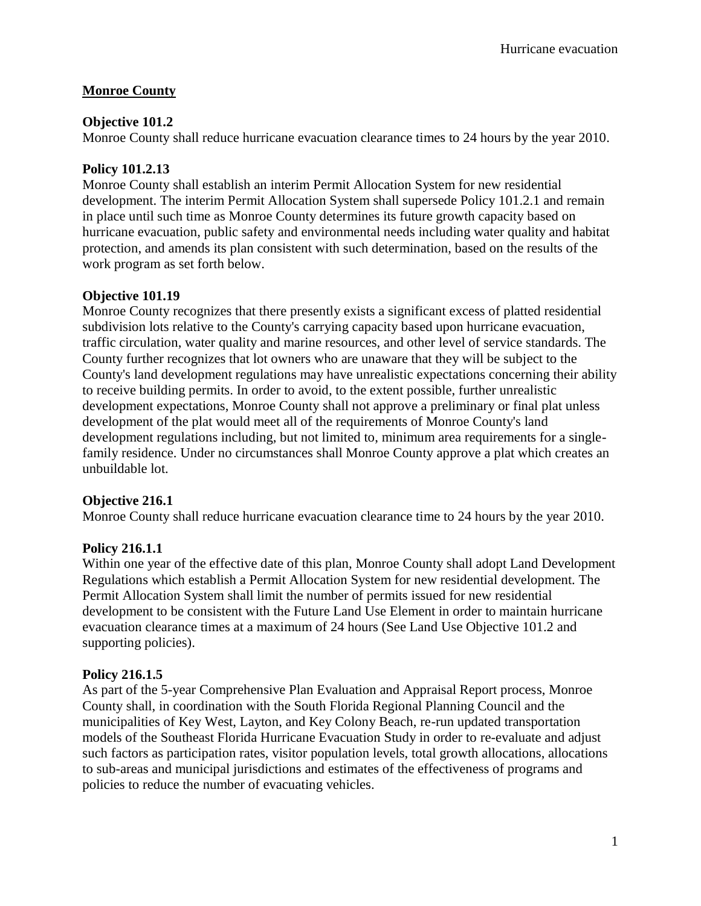# **Monroe County**

## **Objective 101.2**

Monroe County shall reduce hurricane evacuation clearance times to 24 hours by the year 2010.

# **Policy 101.2.13**

Monroe County shall establish an interim Permit Allocation System for new residential development. The interim Permit Allocation System shall supersede Policy 101.2.1 and remain in place until such time as Monroe County determines its future growth capacity based on hurricane evacuation, public safety and environmental needs including water quality and habitat protection, and amends its plan consistent with such determination, based on the results of the work program as set forth below.

## **Objective 101.19**

Monroe County recognizes that there presently exists a significant excess of platted residential subdivision lots relative to the County's carrying capacity based upon hurricane evacuation, traffic circulation, water quality and marine resources, and other level of service standards. The County further recognizes that lot owners who are unaware that they will be subject to the County's land development regulations may have unrealistic expectations concerning their ability to receive building permits. In order to avoid, to the extent possible, further unrealistic development expectations, Monroe County shall not approve a preliminary or final plat unless development of the plat would meet all of the requirements of Monroe County's land development regulations including, but not limited to, minimum area requirements for a singlefamily residence. Under no circumstances shall Monroe County approve a plat which creates an unbuildable lot.

## **Objective 216.1**

Monroe County shall reduce hurricane evacuation clearance time to 24 hours by the year 2010.

# **Policy 216.1.1**

Within one year of the effective date of this plan, Monroe County shall adopt Land Development Regulations which establish a Permit Allocation System for new residential development. The Permit Allocation System shall limit the number of permits issued for new residential development to be consistent with the Future Land Use Element in order to maintain hurricane evacuation clearance times at a maximum of 24 hours (See Land Use Objective 101.2 and supporting policies).

# **Policy 216.1.5**

As part of the 5-year Comprehensive Plan Evaluation and Appraisal Report process, Monroe County shall, in coordination with the South Florida Regional Planning Council and the municipalities of Key West, Layton, and Key Colony Beach, re-run updated transportation models of the Southeast Florida Hurricane Evacuation Study in order to re-evaluate and adjust such factors as participation rates, visitor population levels, total growth allocations, allocations to sub-areas and municipal jurisdictions and estimates of the effectiveness of programs and policies to reduce the number of evacuating vehicles.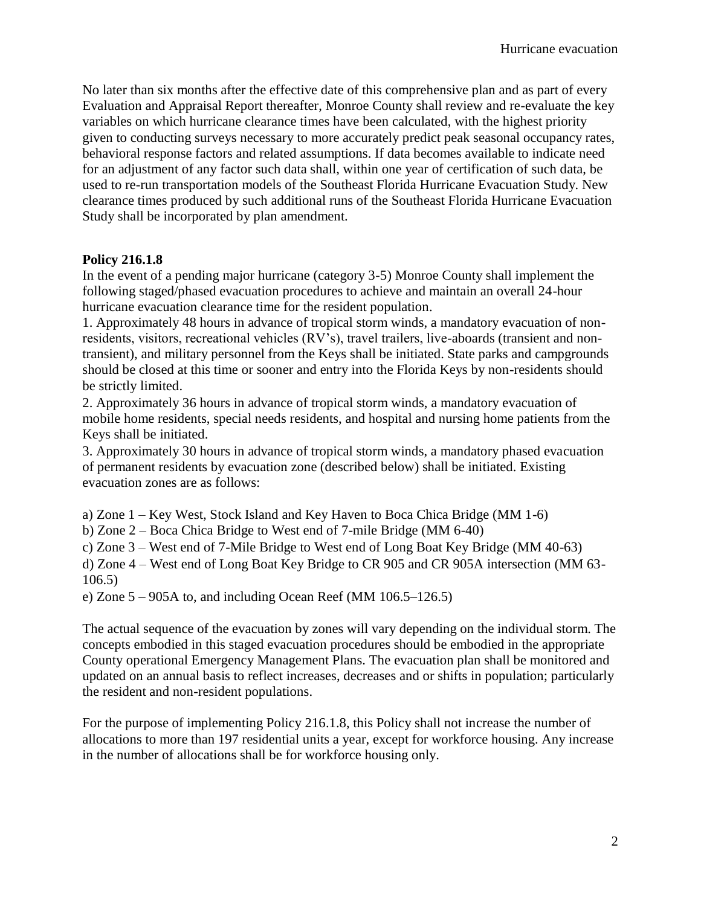No later than six months after the effective date of this comprehensive plan and as part of every Evaluation and Appraisal Report thereafter, Monroe County shall review and re-evaluate the key variables on which hurricane clearance times have been calculated, with the highest priority given to conducting surveys necessary to more accurately predict peak seasonal occupancy rates, behavioral response factors and related assumptions. If data becomes available to indicate need for an adjustment of any factor such data shall, within one year of certification of such data, be used to re-run transportation models of the Southeast Florida Hurricane Evacuation Study. New clearance times produced by such additional runs of the Southeast Florida Hurricane Evacuation Study shall be incorporated by plan amendment.

## **Policy 216.1.8**

In the event of a pending major hurricane (category 3-5) Monroe County shall implement the following staged/phased evacuation procedures to achieve and maintain an overall 24-hour hurricane evacuation clearance time for the resident population.

1. Approximately 48 hours in advance of tropical storm winds, a mandatory evacuation of nonresidents, visitors, recreational vehicles (RV's), travel trailers, live-aboards (transient and nontransient), and military personnel from the Keys shall be initiated. State parks and campgrounds should be closed at this time or sooner and entry into the Florida Keys by non-residents should be strictly limited.

2. Approximately 36 hours in advance of tropical storm winds, a mandatory evacuation of mobile home residents, special needs residents, and hospital and nursing home patients from the Keys shall be initiated.

3. Approximately 30 hours in advance of tropical storm winds, a mandatory phased evacuation of permanent residents by evacuation zone (described below) shall be initiated. Existing evacuation zones are as follows:

a) Zone 1 – Key West, Stock Island and Key Haven to Boca Chica Bridge (MM 1-6)

b) Zone 2 – Boca Chica Bridge to West end of 7-mile Bridge (MM 6-40)

c) Zone 3 – West end of 7-Mile Bridge to West end of Long Boat Key Bridge (MM 40-63)

d) Zone 4 – West end of Long Boat Key Bridge to CR 905 and CR 905A intersection (MM 63- 106.5)

e) Zone  $5 - 905A$  to, and including Ocean Reef (MM 106.5–126.5)

The actual sequence of the evacuation by zones will vary depending on the individual storm. The concepts embodied in this staged evacuation procedures should be embodied in the appropriate County operational Emergency Management Plans. The evacuation plan shall be monitored and updated on an annual basis to reflect increases, decreases and or shifts in population; particularly the resident and non-resident populations.

For the purpose of implementing Policy 216.1.8, this Policy shall not increase the number of allocations to more than 197 residential units a year, except for workforce housing. Any increase in the number of allocations shall be for workforce housing only.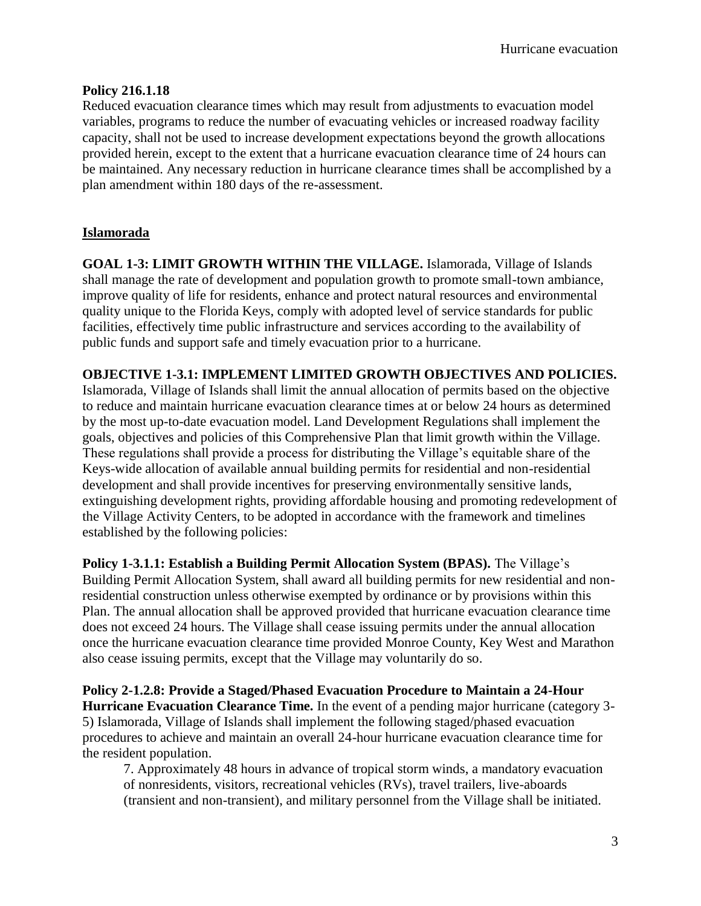#### **Policy 216.1.18**

Reduced evacuation clearance times which may result from adjustments to evacuation model variables, programs to reduce the number of evacuating vehicles or increased roadway facility capacity, shall not be used to increase development expectations beyond the growth allocations provided herein, except to the extent that a hurricane evacuation clearance time of 24 hours can be maintained. Any necessary reduction in hurricane clearance times shall be accomplished by a plan amendment within 180 days of the re-assessment.

## **Islamorada**

**GOAL 1-3: LIMIT GROWTH WITHIN THE VILLAGE.** Islamorada, Village of Islands shall manage the rate of development and population growth to promote small-town ambiance, improve quality of life for residents, enhance and protect natural resources and environmental quality unique to the Florida Keys, comply with adopted level of service standards for public facilities, effectively time public infrastructure and services according to the availability of public funds and support safe and timely evacuation prior to a hurricane.

## **OBJECTIVE 1-3.1: IMPLEMENT LIMITED GROWTH OBJECTIVES AND POLICIES.**

Islamorada, Village of Islands shall limit the annual allocation of permits based on the objective to reduce and maintain hurricane evacuation clearance times at or below 24 hours as determined by the most up-to-date evacuation model. Land Development Regulations shall implement the goals, objectives and policies of this Comprehensive Plan that limit growth within the Village. These regulations shall provide a process for distributing the Village's equitable share of the Keys-wide allocation of available annual building permits for residential and non-residential development and shall provide incentives for preserving environmentally sensitive lands, extinguishing development rights, providing affordable housing and promoting redevelopment of the Village Activity Centers, to be adopted in accordance with the framework and timelines established by the following policies:

**Policy 1-3.1.1: Establish a Building Permit Allocation System (BPAS).** The Village's Building Permit Allocation System, shall award all building permits for new residential and nonresidential construction unless otherwise exempted by ordinance or by provisions within this Plan. The annual allocation shall be approved provided that hurricane evacuation clearance time does not exceed 24 hours. The Village shall cease issuing permits under the annual allocation once the hurricane evacuation clearance time provided Monroe County, Key West and Marathon also cease issuing permits, except that the Village may voluntarily do so.

**Policy 2-1.2.8: Provide a Staged/Phased Evacuation Procedure to Maintain a 24-Hour Hurricane Evacuation Clearance Time.** In the event of a pending major hurricane (category 3- 5) Islamorada, Village of Islands shall implement the following staged/phased evacuation procedures to achieve and maintain an overall 24-hour hurricane evacuation clearance time for the resident population.

7. Approximately 48 hours in advance of tropical storm winds, a mandatory evacuation of nonresidents, visitors, recreational vehicles (RVs), travel trailers, live-aboards (transient and non-transient), and military personnel from the Village shall be initiated.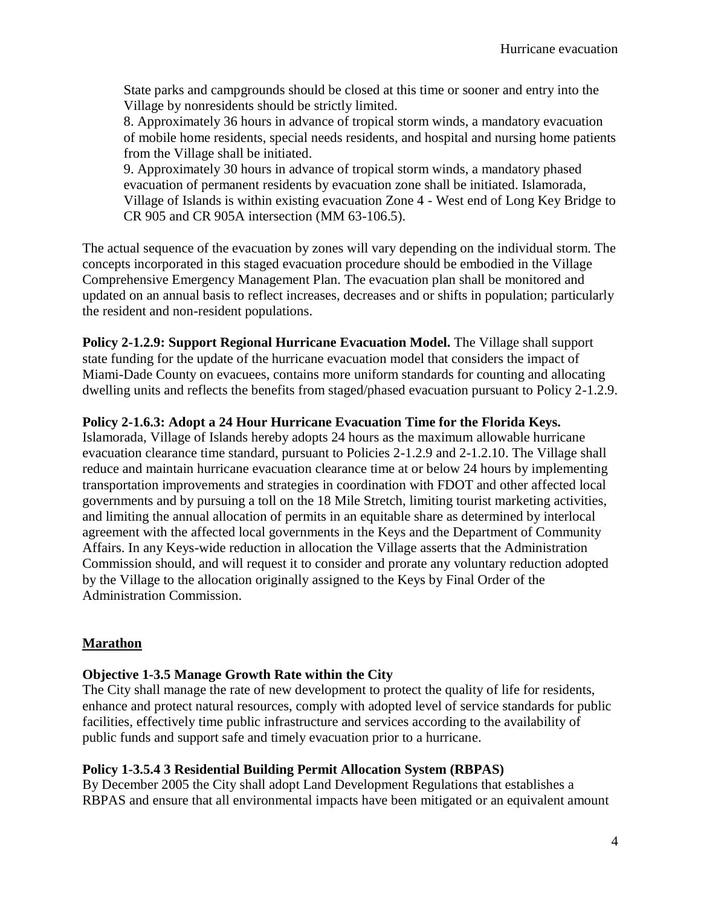State parks and campgrounds should be closed at this time or sooner and entry into the Village by nonresidents should be strictly limited.

8. Approximately 36 hours in advance of tropical storm winds, a mandatory evacuation of mobile home residents, special needs residents, and hospital and nursing home patients from the Village shall be initiated.

9. Approximately 30 hours in advance of tropical storm winds, a mandatory phased evacuation of permanent residents by evacuation zone shall be initiated. Islamorada, Village of Islands is within existing evacuation Zone 4 - West end of Long Key Bridge to CR 905 and CR 905A intersection (MM 63-106.5).

The actual sequence of the evacuation by zones will vary depending on the individual storm. The concepts incorporated in this staged evacuation procedure should be embodied in the Village Comprehensive Emergency Management Plan. The evacuation plan shall be monitored and updated on an annual basis to reflect increases, decreases and or shifts in population; particularly the resident and non-resident populations.

**Policy 2-1.2.9: Support Regional Hurricane Evacuation Model.** The Village shall support state funding for the update of the hurricane evacuation model that considers the impact of Miami-Dade County on evacuees, contains more uniform standards for counting and allocating dwelling units and reflects the benefits from staged/phased evacuation pursuant to Policy 2-1.2.9.

## **Policy 2-1.6.3: Adopt a 24 Hour Hurricane Evacuation Time for the Florida Keys.**

Islamorada, Village of Islands hereby adopts 24 hours as the maximum allowable hurricane evacuation clearance time standard, pursuant to Policies 2-1.2.9 and 2-1.2.10. The Village shall reduce and maintain hurricane evacuation clearance time at or below 24 hours by implementing transportation improvements and strategies in coordination with FDOT and other affected local governments and by pursuing a toll on the 18 Mile Stretch, limiting tourist marketing activities, and limiting the annual allocation of permits in an equitable share as determined by interlocal agreement with the affected local governments in the Keys and the Department of Community Affairs. In any Keys-wide reduction in allocation the Village asserts that the Administration Commission should, and will request it to consider and prorate any voluntary reduction adopted by the Village to the allocation originally assigned to the Keys by Final Order of the Administration Commission.

## **Marathon**

## **Objective 1-3.5 Manage Growth Rate within the City**

The City shall manage the rate of new development to protect the quality of life for residents, enhance and protect natural resources, comply with adopted level of service standards for public facilities, effectively time public infrastructure and services according to the availability of public funds and support safe and timely evacuation prior to a hurricane.

## **Policy 1-3.5.4 3 Residential Building Permit Allocation System (RBPAS)**

By December 2005 the City shall adopt Land Development Regulations that establishes a RBPAS and ensure that all environmental impacts have been mitigated or an equivalent amount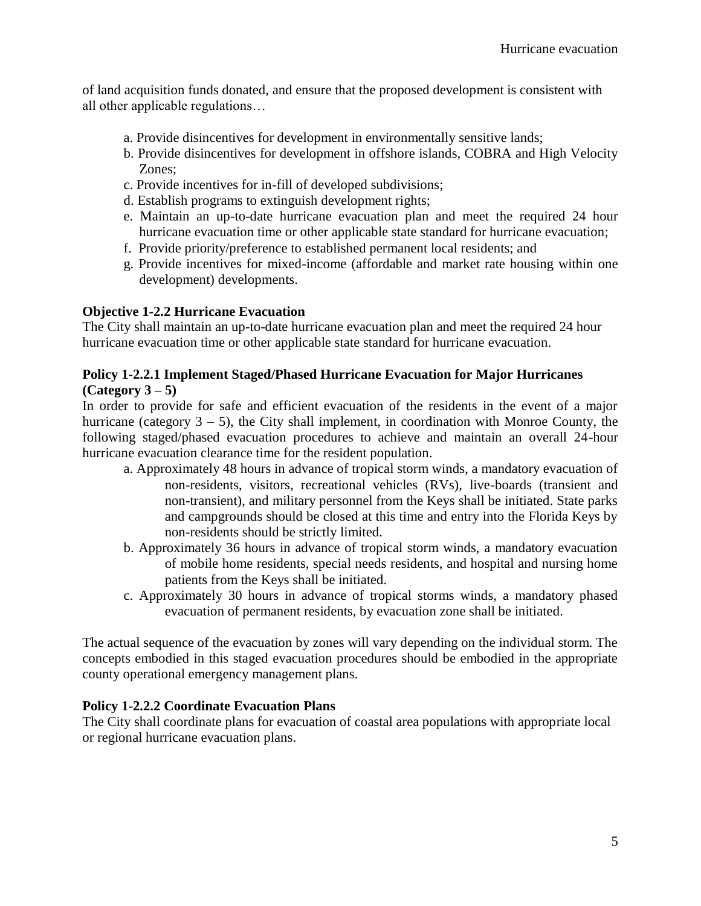of land acquisition funds donated, and ensure that the proposed development is consistent with all other applicable regulations…

- a. Provide disincentives for development in environmentally sensitive lands;
- b. Provide disincentives for development in offshore islands, COBRA and High Velocity Zones;
- c. Provide incentives for in-fill of developed subdivisions;
- d. Establish programs to extinguish development rights;
- e. Maintain an up-to-date hurricane evacuation plan and meet the required 24 hour hurricane evacuation time or other applicable state standard for hurricane evacuation;
- f. Provide priority/preference to established permanent local residents; and
- g. Provide incentives for mixed-income (affordable and market rate housing within one development) developments.

## **Objective 1-2.2 Hurricane Evacuation**

The City shall maintain an up-to-date hurricane evacuation plan and meet the required 24 hour hurricane evacuation time or other applicable state standard for hurricane evacuation.

## **Policy 1-2.2.1 Implement Staged/Phased Hurricane Evacuation for Major Hurricanes (Category 3 – 5)**

In order to provide for safe and efficient evacuation of the residents in the event of a major hurricane (category  $3 - 5$ ), the City shall implement, in coordination with Monroe County, the following staged/phased evacuation procedures to achieve and maintain an overall 24-hour hurricane evacuation clearance time for the resident population.

- a. Approximately 48 hours in advance of tropical storm winds, a mandatory evacuation of non-residents, visitors, recreational vehicles (RVs), live-boards (transient and non-transient), and military personnel from the Keys shall be initiated. State parks and campgrounds should be closed at this time and entry into the Florida Keys by non-residents should be strictly limited.
- b. Approximately 36 hours in advance of tropical storm winds, a mandatory evacuation of mobile home residents, special needs residents, and hospital and nursing home patients from the Keys shall be initiated.
- c. Approximately 30 hours in advance of tropical storms winds, a mandatory phased evacuation of permanent residents, by evacuation zone shall be initiated.

The actual sequence of the evacuation by zones will vary depending on the individual storm. The concepts embodied in this staged evacuation procedures should be embodied in the appropriate county operational emergency management plans.

## **Policy 1-2.2.2 Coordinate Evacuation Plans**

The City shall coordinate plans for evacuation of coastal area populations with appropriate local or regional hurricane evacuation plans.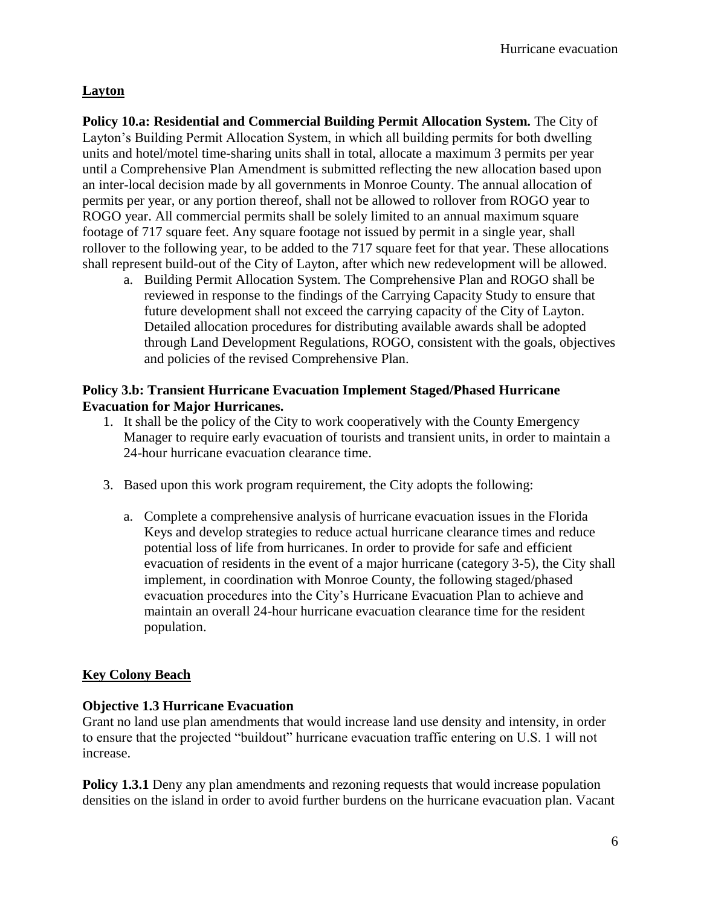# **Layton**

**Policy 10.a: Residential and Commercial Building Permit Allocation System.** The City of Layton's Building Permit Allocation System, in which all building permits for both dwelling units and hotel/motel time-sharing units shall in total, allocate a maximum 3 permits per year until a Comprehensive Plan Amendment is submitted reflecting the new allocation based upon an inter-local decision made by all governments in Monroe County. The annual allocation of permits per year, or any portion thereof, shall not be allowed to rollover from ROGO year to ROGO year. All commercial permits shall be solely limited to an annual maximum square footage of 717 square feet. Any square footage not issued by permit in a single year, shall rollover to the following year, to be added to the 717 square feet for that year. These allocations shall represent build-out of the City of Layton, after which new redevelopment will be allowed.

a. Building Permit Allocation System. The Comprehensive Plan and ROGO shall be reviewed in response to the findings of the Carrying Capacity Study to ensure that future development shall not exceed the carrying capacity of the City of Layton. Detailed allocation procedures for distributing available awards shall be adopted through Land Development Regulations, ROGO, consistent with the goals, objectives and policies of the revised Comprehensive Plan.

## **Policy 3.b: Transient Hurricane Evacuation Implement Staged/Phased Hurricane Evacuation for Major Hurricanes.**

- 1. It shall be the policy of the City to work cooperatively with the County Emergency Manager to require early evacuation of tourists and transient units, in order to maintain a 24-hour hurricane evacuation clearance time.
- 3. Based upon this work program requirement, the City adopts the following:
	- a. Complete a comprehensive analysis of hurricane evacuation issues in the Florida Keys and develop strategies to reduce actual hurricane clearance times and reduce potential loss of life from hurricanes. In order to provide for safe and efficient evacuation of residents in the event of a major hurricane (category 3-5), the City shall implement, in coordination with Monroe County, the following staged/phased evacuation procedures into the City's Hurricane Evacuation Plan to achieve and maintain an overall 24-hour hurricane evacuation clearance time for the resident population.

## **Key Colony Beach**

## **Objective 1.3 Hurricane Evacuation**

Grant no land use plan amendments that would increase land use density and intensity, in order to ensure that the projected "buildout" hurricane evacuation traffic entering on U.S. 1 will not increase.

**Policy 1.3.1** Deny any plan amendments and rezoning requests that would increase population densities on the island in order to avoid further burdens on the hurricane evacuation plan. Vacant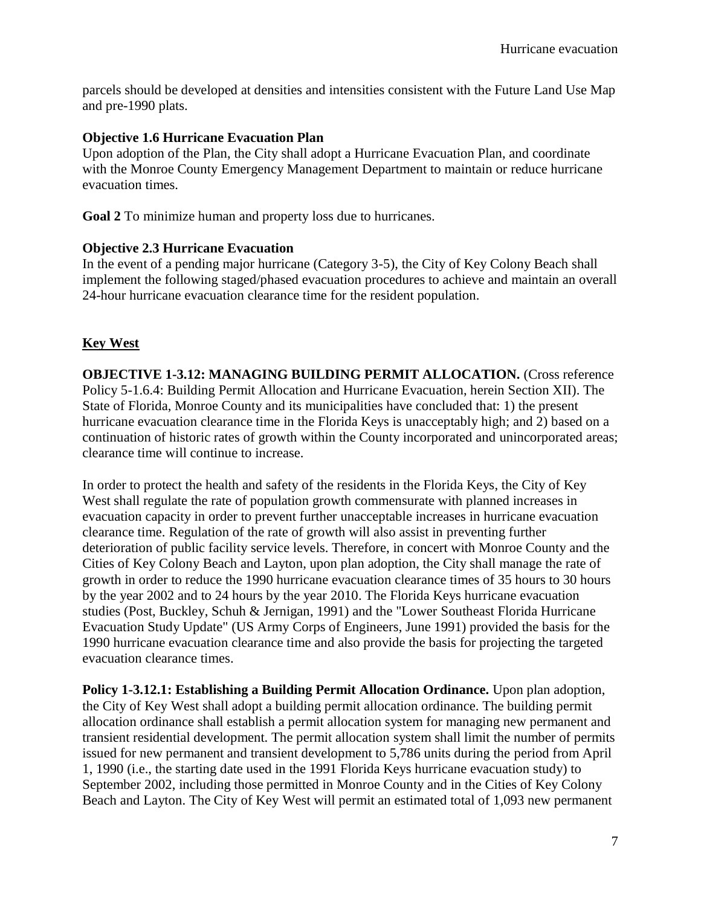parcels should be developed at densities and intensities consistent with the Future Land Use Map and pre-1990 plats.

#### **Objective 1.6 Hurricane Evacuation Plan**

Upon adoption of the Plan, the City shall adopt a Hurricane Evacuation Plan, and coordinate with the Monroe County Emergency Management Department to maintain or reduce hurricane evacuation times.

**Goal 2** To minimize human and property loss due to hurricanes.

#### **Objective 2.3 Hurricane Evacuation**

In the event of a pending major hurricane (Category 3-5), the City of Key Colony Beach shall implement the following staged/phased evacuation procedures to achieve and maintain an overall 24-hour hurricane evacuation clearance time for the resident population.

## **Key West**

**OBJECTIVE 1-3.12: MANAGING BUILDING PERMIT ALLOCATION.** (Cross reference Policy 5-1.6.4: Building Permit Allocation and Hurricane Evacuation, herein Section XII). The State of Florida, Monroe County and its municipalities have concluded that: 1) the present hurricane evacuation clearance time in the Florida Keys is unacceptably high; and 2) based on a continuation of historic rates of growth within the County incorporated and unincorporated areas; clearance time will continue to increase.

In order to protect the health and safety of the residents in the Florida Keys, the City of Key West shall regulate the rate of population growth commensurate with planned increases in evacuation capacity in order to prevent further unacceptable increases in hurricane evacuation clearance time. Regulation of the rate of growth will also assist in preventing further deterioration of public facility service levels. Therefore, in concert with Monroe County and the Cities of Key Colony Beach and Layton, upon plan adoption, the City shall manage the rate of growth in order to reduce the 1990 hurricane evacuation clearance times of 35 hours to 30 hours by the year 2002 and to 24 hours by the year 2010. The Florida Keys hurricane evacuation studies (Post, Buckley, Schuh & Jernigan, 1991) and the "Lower Southeast Florida Hurricane Evacuation Study Update" (US Army Corps of Engineers, June 1991) provided the basis for the 1990 hurricane evacuation clearance time and also provide the basis for projecting the targeted evacuation clearance times.

**Policy 1-3.12.1: Establishing a Building Permit Allocation Ordinance.** Upon plan adoption, the City of Key West shall adopt a building permit allocation ordinance. The building permit allocation ordinance shall establish a permit allocation system for managing new permanent and transient residential development. The permit allocation system shall limit the number of permits issued for new permanent and transient development to 5,786 units during the period from April 1, 1990 (i.e., the starting date used in the 1991 Florida Keys hurricane evacuation study) to September 2002, including those permitted in Monroe County and in the Cities of Key Colony Beach and Layton. The City of Key West will permit an estimated total of 1,093 new permanent